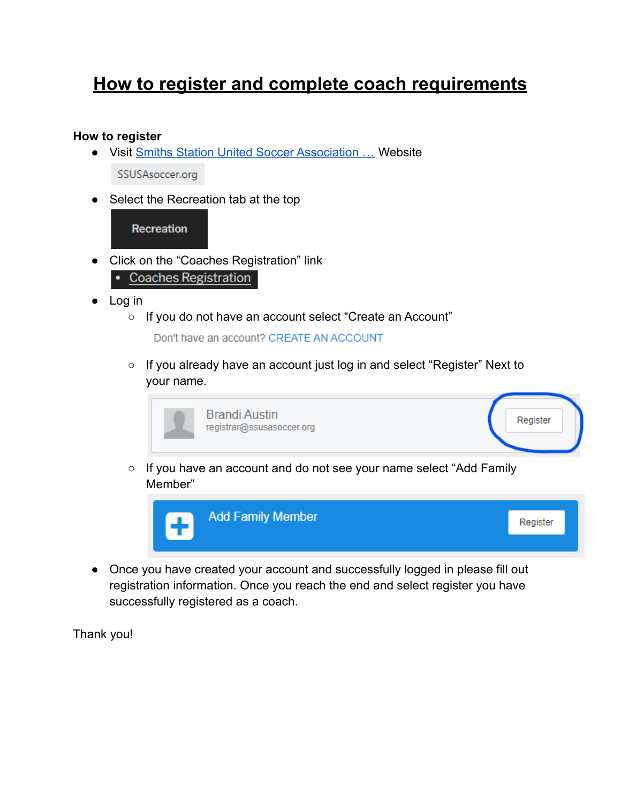# **How to register and complete coach requirements**

#### **How to register**

- Visit [Smiths Station United Soccer Association …](https://ssusasoccer.org/) Website SSUSAsoccer.org
- Select the Recreation tab at the top

## **Recreation**

- Click on the "Coaches Registration" link • Coaches Registration
- Log in
	- If you do not have an account select "Create an Account"

Don't have an account? CREATE AN ACCOUNT

○ If you already have an account just log in and select "Register" Next to your name.

| <b>Brandi Austin</b><br>registrar@ssusasoccer.org | Register |
|---------------------------------------------------|----------|
|                                                   |          |

○ If you have an account and do not see your name select "Add Family Member"



● Once you have created your account and successfully logged in please fill out registration information. Once you reach the end and select register you have successfully registered as a coach.

Thank you!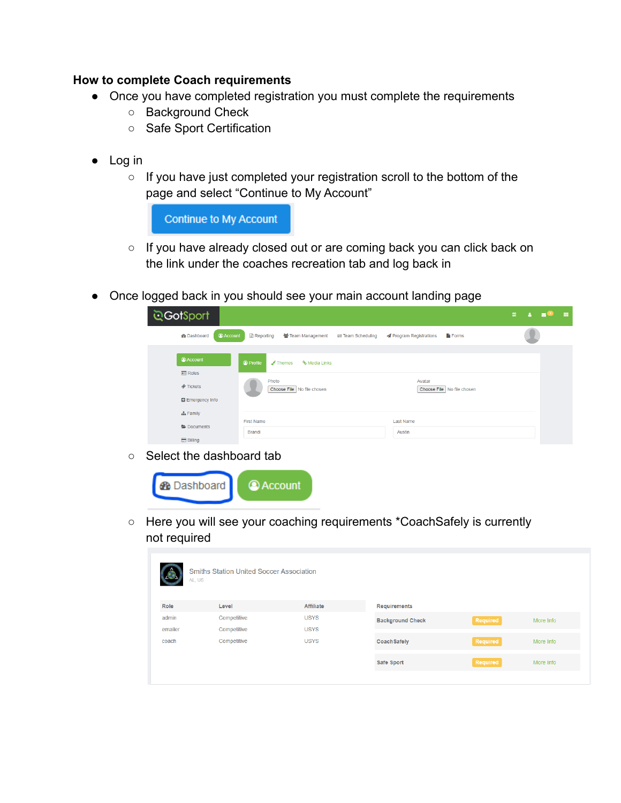### **How to complete Coach requirements**

- Once you have completed registration you must complete the requirements
	- Background Check
	- Safe Sport Certification
- Log in
	- If you have just completed your registration scroll to the bottom of the page and select "Continue to My Account"

**Continue to My Account** 

- If you have already closed out or are coming back you can click back on the link under the coaches recreation tab and log back in
- Once logged back in you should see your main account landing page

| ্র <b>GotSport</b>                       |                                                                                                               | 瞿 |  | m |
|------------------------------------------|---------------------------------------------------------------------------------------------------------------|---|--|---|
| <b>Account</b><br><b>&amp;</b> Dashboard | Reporting<br>警 Team Management<br>Program Registrations<br><b>Forms</b><br>$\rightleftarrows$ Team Scheduling |   |  |   |
| Account                                  | <sup>O</sup> Profile<br>% Media Links<br>$\sqrt{\ }$ Themes                                                   |   |  |   |
| $E = \text{Roles}$                       |                                                                                                               |   |  |   |
| <b><i>Tickets</i></b>                    | Photo<br>Avatar<br>Choose File   No file chosen<br>Choose File No file chosen                                 |   |  |   |
| <b>B</b> Emergency Info                  |                                                                                                               |   |  |   |
| <b>A</b> Family                          |                                                                                                               |   |  |   |
| Documents                                | <b>First Name</b><br><b>Last Name</b>                                                                         |   |  |   |
| <b>Billing</b>                           | <b>Brandi</b><br>Austin                                                                                       |   |  |   |

○ Select the dashboard tab



○ Here you will see your coaching requirements \*CoachSafely is currently not required

|         | <b>Smiths Station United Soccer Association</b><br>AL, US |                  |                         |          |           |
|---------|-----------------------------------------------------------|------------------|-------------------------|----------|-----------|
| Role    | Level                                                     | <b>Affiliate</b> | <b>Requirements</b>     |          |           |
| admin   | Competitive                                               | <b>USYS</b>      | <b>Background Check</b> | Required | More Info |
| emailer | Competitive                                               | <b>USYS</b>      |                         |          |           |
| coach   | Competitive                                               | <b>USYS</b>      | <b>Coach Safely</b>     | Required | More Info |
|         |                                                           |                  | Safe Sport              | Required | More Info |
|         |                                                           |                  |                         |          |           |
|         |                                                           |                  |                         |          |           |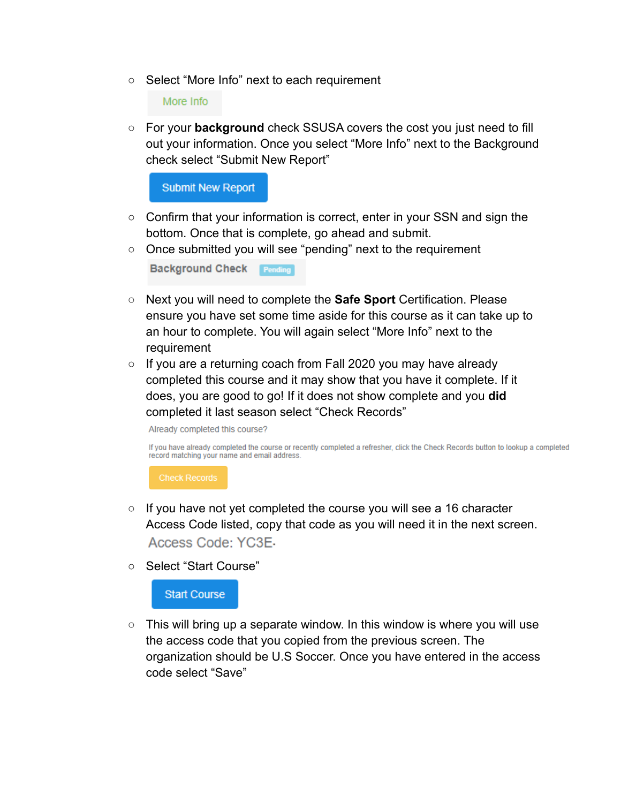○ Select "More Info" next to each requirement

More Info

○ For your **background** check SSUSA covers the cost you just need to fill out your information. Once you select "More Info" next to the Background check select "Submit New Report"

**Submit New Report** 

- Confirm that your information is correct, enter in your SSN and sign the bottom. Once that is complete, go ahead and submit.
- Once submitted you will see "pending" next to the requirement

**Background Check Pending** 

- Next you will need to complete the **Safe Sport** Certification. Please ensure you have set some time aside for this course as it can take up to an hour to complete. You will again select "More Info" next to the requirement
- $\circ$  If you are a returning coach from Fall 2020 you may have already completed this course and it may show that you have it complete. If it does, you are good to go! If it does not show complete and you **did** completed it last season select "Check Records"

Already completed this course?

If you have already completed the course or recently completed a refresher, click the Check Records button to lookup a completed record matching your name and email address.

**Check Records** 

- If you have not yet completed the course you will see a 16 character Access Code listed, copy that code as you will need it in the next screen. Access Code: YC3E-
- Select "Start Course"

**Start Course** 

 $\circ$  This will bring up a separate window. In this window is where you will use the access code that you copied from the previous screen. The organization should be U.S Soccer. Once you have entered in the access code select "Save"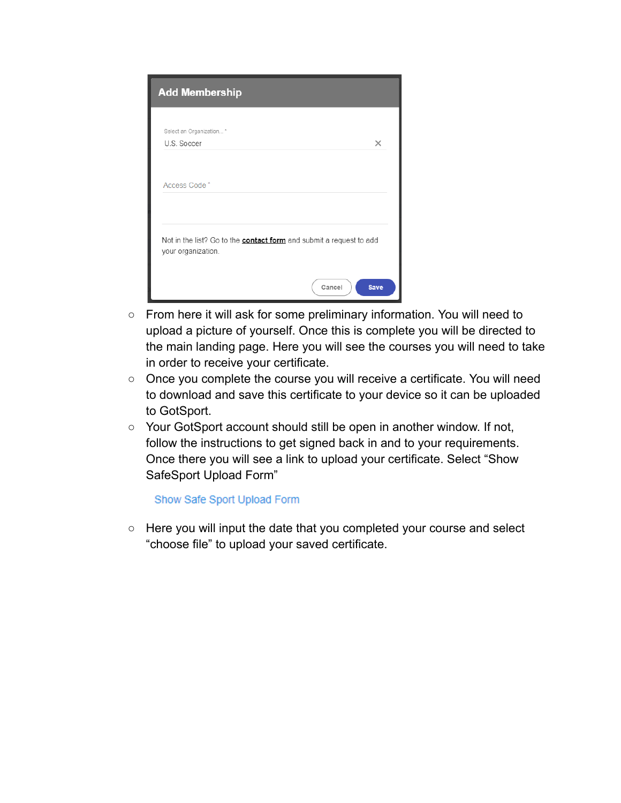| <b>Add Membership</b>                                                                            |             |
|--------------------------------------------------------------------------------------------------|-------------|
| Select an Organization *                                                                         |             |
| U.S. Soccer                                                                                      | $\times$    |
|                                                                                                  |             |
| Access Code*                                                                                     |             |
|                                                                                                  |             |
| Not in the list? Go to the <b>contact form</b> and submit a request to add<br>your organization. |             |
| Cancel                                                                                           | <b>Save</b> |

- From here it will ask for some preliminary information. You will need to upload a picture of yourself. Once this is complete you will be directed to the main landing page. Here you will see the courses you will need to take in order to receive your certificate.
- Once you complete the course you will receive a certificate. You will need to download and save this certificate to your device so it can be uploaded to GotSport.
- Your GotSport account should still be open in another window. If not, follow the instructions to get signed back in and to your requirements. Once there you will see a link to upload your certificate. Select "Show SafeSport Upload Form"

#### Show Safe Sport Upload Form

○ Here you will input the date that you completed your course and select "choose file" to upload your saved certificate.